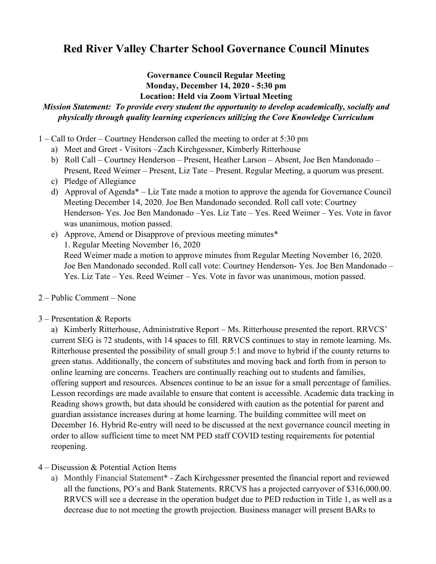## **Red River Valley Charter School Governance Council Minutes**

## **Governance Council Regular Meeting Monday, December 14, 2020 - 5:30 pm Location: Held via Zoom Virtual Meeting**

## *Mission Statement: To provide every student the opportunity to develop academically, socially and physically through quality learning experiences utilizing the Core Knowledge Curriculum*

- 1 Call to Order Courtney Henderson called the meeting to order at 5:30 pm
	- a) Meet and Greet Visitors –Zach Kirchgessner, Kimberly Ritterhouse
	- b) Roll Call Courtney Henderson Present, Heather Larson Absent, Joe Ben Mandonado Present, Reed Weimer – Present, Liz Tate – Present. Regular Meeting, a quorum was present.
	- c) Pledge of Allegiance
	- d) Approval of Agenda\* Liz Tate made a motion to approve the agenda for Governance Council Meeting December 14, 2020. Joe Ben Mandonado seconded. Roll call vote: Courtney Henderson- Yes. Joe Ben Mandonado –Yes. Liz Tate – Yes. Reed Weimer – Yes. Vote in favor was unanimous, motion passed.
	- e) Approve, Amend or Disapprove of previous meeting minutes\* 1. Regular Meeting November 16, 2020 Reed Weimer made a motion to approve minutes from Regular Meeting November 16, 2020. Joe Ben Mandonado seconded. Roll call vote: Courtney Henderson- Yes. Joe Ben Mandonado – Yes. Liz Tate – Yes. Reed Weimer – Yes. Vote in favor was unanimous, motion passed.
- 2 Public Comment None
- 3 Presentation & Reports

a) Kimberly Ritterhouse, Administrative Report – Ms. Ritterhouse presented the report. RRVCS' current SEG is 72 students, with 14 spaces to fill. RRVCS continues to stay in remote learning. Ms. Ritterhouse presented the possibility of small group 5:1 and move to hybrid if the county returns to green status. Additionally, the concern of substitutes and moving back and forth from in person to online learning are concerns. Teachers are continually reaching out to students and families, offering support and resources. Absences continue to be an issue for a small percentage of families. Lesson recordings are made available to ensure that content is accessible. Academic data tracking in Reading shows growth, but data should be considered with caution as the potential for parent and guardian assistance increases during at home learning. The building committee will meet on December 16. Hybrid Re-entry will need to be discussed at the next governance council meeting in order to allow sufficient time to meet NM PED staff COVID testing requirements for potential reopening.

- 4 Discussion & Potential Action Items
	- a) Monthly Financial Statement\* Zach Kirchgessner presented the financial report and reviewed all the functions, PO's and Bank Statements. RRCVS has a projected carryover of \$316,000.00. RRVCS will see a decrease in the operation budget due to PED reduction in Title 1, as well as a decrease due to not meeting the growth projection. Business manager will present BARs to